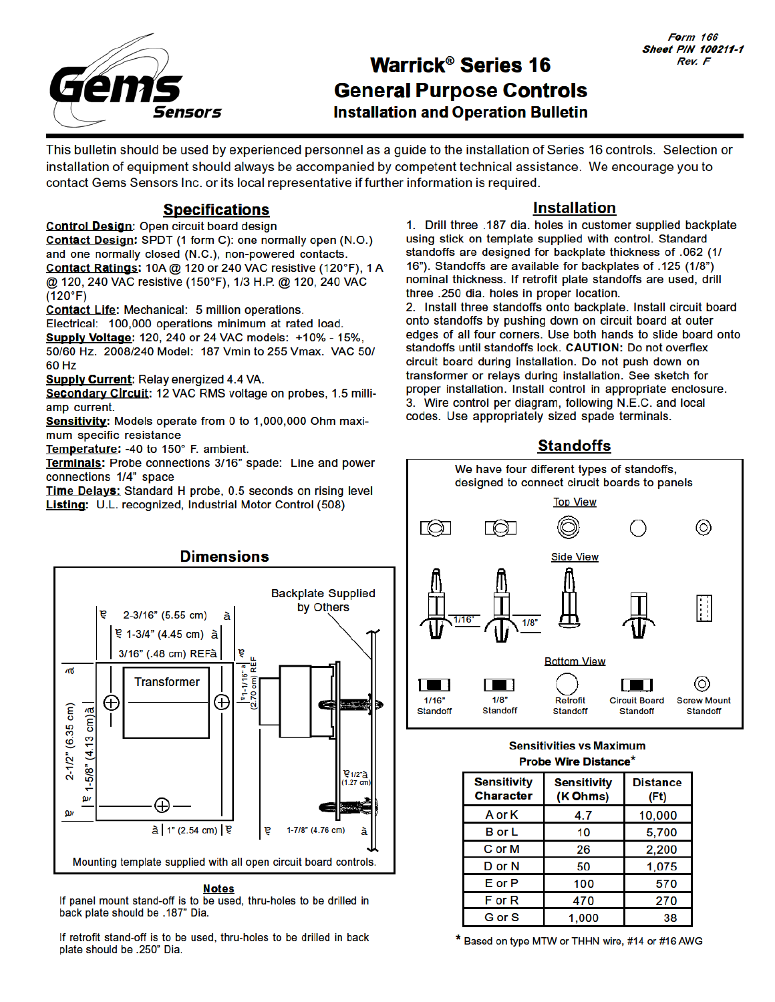

# **Warrick® Series 16 General Purpose Controls Installation and Operation Bulletin**

This bulletin should be used by experienced personnel as a guide to the installation of Series 16 controls. Selection or installation of equipment should always be accompanied by competent technical assistance. We encourage you to contact Gems Sensors Inc. or its local representative if further information is required.

## **Specifications**

Control Design: Open circuit board design Contact Design: SPDT (1 form C): one normally open (N.O.) and one normally closed (N.C.), non-powered contacts.

Contact Ratings: 10A @ 120 or 240 VAC resistive (120°F). 1 A @ 120, 240 VAC resistive (150°F), 1/3 H.P. @ 120, 240 VAC  $(120°F)$ 

Contact Life: Mechanical: 5 million operations.

Electrical: 100,000 operations minimum at rated load.

**Supply Voltage: 120, 240 or 24 VAC models: +10% - 15%,** 50/60 Hz. 2008/240 Model: 187 Vmin to 255 Vmax. VAC 50/ 60 Hz

**Supply Current: Relay energized 4.4 VA.** 

Secondary Circuit: 12 VAC RMS voltage on probes, 1.5 milliamp current.

Sensitivity: Models operate from 0 to 1,000,000 Ohm maximum specific resistance

Temperature: -40 to 150° F. ambient.

Terminals: Probe connections 3/16" spade: Line and power connections 1/4" space

Time Delays: Standard H probe, 0.5 seconds on rising level Listing: U.L. recognized, Industrial Motor Control (508)



If panel mount stand-off is to be used, thru-holes to be drilled in back plate should be .187" Dia.

If retrofit stand-off is to be used, thru-holes to be drilled in back plate should be .250" Dia.

### **Installation**

1. Drill three .187 dia. holes in customer supplied backplate using stick on template supplied with control. Standard standoffs are designed for backplate thickness of .062 (1/ 16"). Standoffs are available for backplates of .125 (1/8") nominal thickness. If retrofit plate standoffs are used, drill three .250 dia. holes in proper location.

2. Install three standoffs onto backplate. Install circuit board onto standoffs by pushing down on circuit board at outer edges of all four corners. Use both hands to slide board onto standoffs until standoffs lock. CAUTION: Do not overflex circuit board during installation. Do not push down on transformer or relays during installation. See sketch for proper installation. Install control in appropriate enclosure. 3. Wire control per diagram, following N.E.C. and local codes. Use appropriately sized spade terminals.

## **Standoffs**



#### **Sensitivities vs Maximum Probe Wire Distance\***

| <b>Sensitivity</b><br><b>Character</b> | <b>Sensitivity</b><br>(K Ohms) | <b>Distance</b><br>(Ft) |
|----------------------------------------|--------------------------------|-------------------------|
| A or K                                 | 4.7                            | 10,000                  |
| <b>B</b> or L                          | 10                             | 5,700                   |
| C or M                                 | 26                             | 2,200                   |
| D or N                                 | 50                             | 1,075                   |
| $E$ or $P$                             | 100                            | 570                     |
| F or R                                 | 470                            | 270                     |
| G or S                                 | 1.000                          | 38                      |

\* Based on type MTW or THHN wire, #14 or #16 AWG